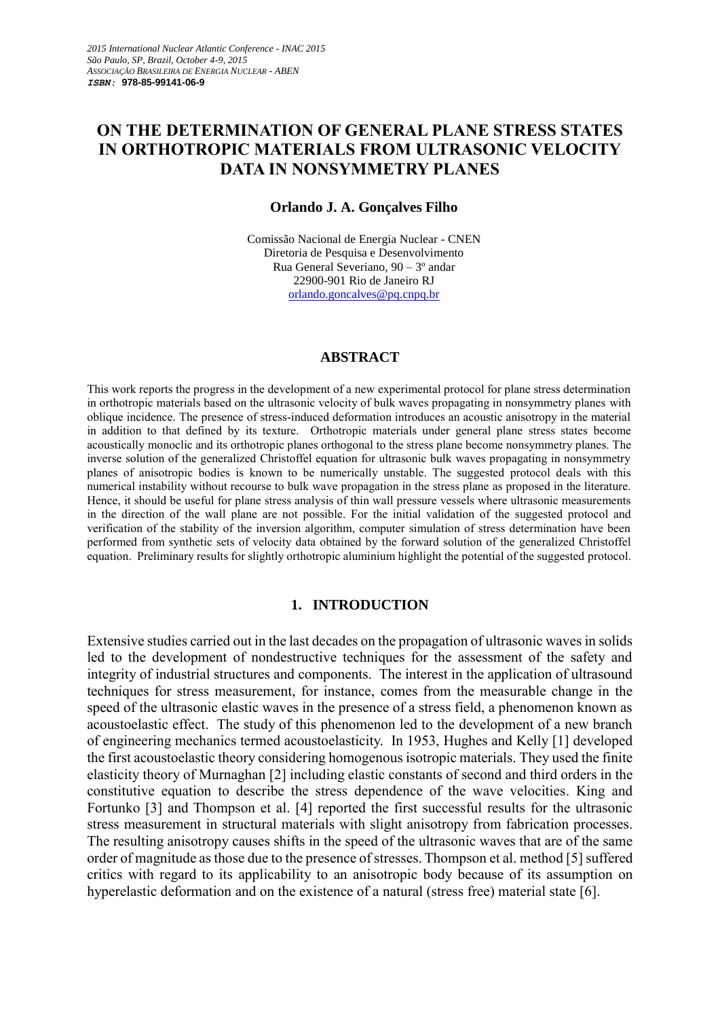# **ON THE DETERMINATION OF GENERAL PLANE STRESS STATES IN ORTHOTROPIC MATERIALS FROM ULTRASONIC VELOCITY DATA IN NONSYMMETRY PLANES**

#### **Orlando J. A. Gonçalves Filho**

Comissão Nacional de Energia Nuclear - CNEN Diretoria de Pesquisa e Desenvolvimento Rua General Severiano, 90 – 3º andar 22900-901 Rio de Janeiro RJ [orlando.goncalves@pq.cnpq.br](mailto:orlando.goncalves@pq.cnpq.br)

## **ABSTRACT**

This work reports the progress in the development of a new experimental protocol for plane stress determination in orthotropic materials based on the ultrasonic velocity of bulk waves propagating in nonsymmetry planes with oblique incidence. The presence of stress-induced deformation introduces an acoustic anisotropy in the material in addition to that defined by its texture. Orthotropic materials under general plane stress states become acoustically monoclic and its orthotropic planes orthogonal to the stress plane become nonsymmetry planes. The inverse solution of the generalized Christoffel equation for ultrasonic bulk waves propagating in nonsymmetry planes of anisotropic bodies is known to be numerically unstable. The suggested protocol deals with this numerical instability without recourse to bulk wave propagation in the stress plane as proposed in the literature. Hence, it should be useful for plane stress analysis of thin wall pressure vessels where ultrasonic measurements in the direction of the wall plane are not possible. For the initial validation of the suggested protocol and verification of the stability of the inversion algorithm, computer simulation of stress determination have been performed from synthetic sets of velocity data obtained by the forward solution of the generalized Christoffel equation. Preliminary results for slightly orthotropic aluminium highlight the potential of the suggested protocol.

## **1. INTRODUCTION**

Extensive studies carried out in the last decades on the propagation of ultrasonic waves in solids led to the development of nondestructive techniques for the assessment of the safety and integrity of industrial structures and components. The interest in the application of ultrasound techniques for stress measurement, for instance, comes from the measurable change in the speed of the ultrasonic elastic waves in the presence of a stress field, a phenomenon known as acoustoelastic effect. The study of this phenomenon led to the development of a new branch of engineering mechanics termed acoustoelasticity. In 1953, Hughes and Kelly [1] developed the first acoustoelastic theory considering homogenous isotropic materials. They used the finite elasticity theory of Murnaghan [2] including elastic constants of second and third orders in the constitutive equation to describe the stress dependence of the wave velocities. King and Fortunko [3] and Thompson et al. [4] reported the first successful results for the ultrasonic stress measurement in structural materials with slight anisotropy from fabrication processes. The resulting anisotropy causes shifts in the speed of the ultrasonic waves that are of the same order of magnitude as those due to the presence of stresses. Thompson et al. method [5] suffered critics with regard to its applicability to an anisotropic body because of its assumption on hyperelastic deformation and on the existence of a natural (stress free) material state [6].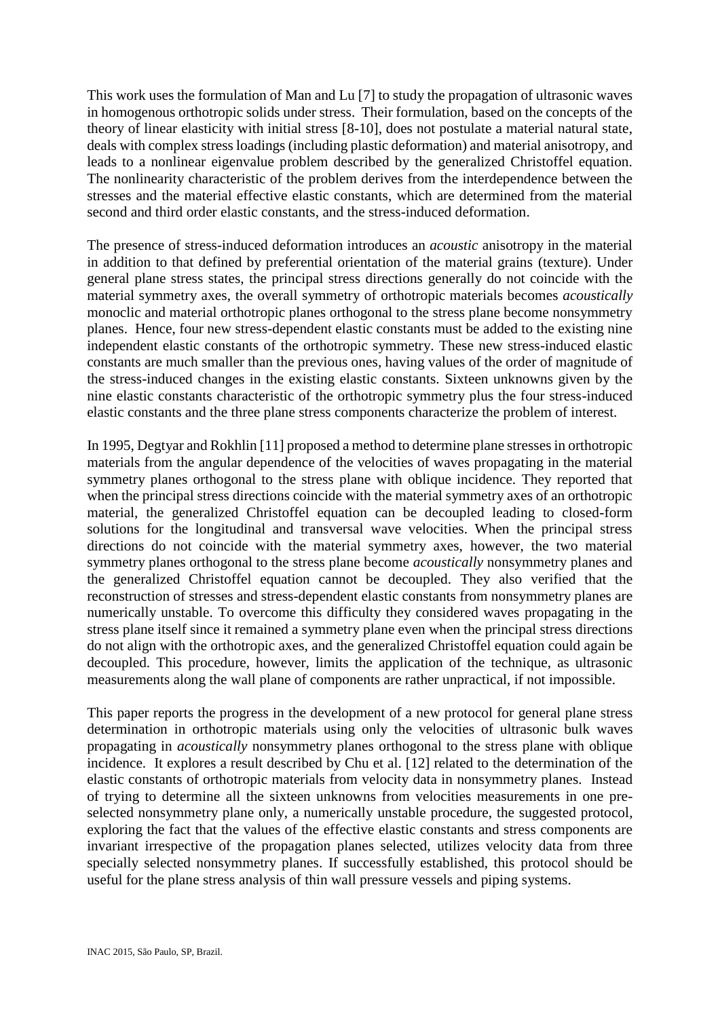This work uses the formulation of Man and Lu [7] to study the propagation of ultrasonic waves in homogenous orthotropic solids under stress. Their formulation, based on the concepts of the theory of linear elasticity with initial stress [8-10], does not postulate a material natural state, deals with complex stress loadings (including plastic deformation) and material anisotropy, and leads to a nonlinear eigenvalue problem described by the generalized Christoffel equation. The nonlinearity characteristic of the problem derives from the interdependence between the stresses and the material effective elastic constants, which are determined from the material second and third order elastic constants, and the stress-induced deformation.

The presence of stress-induced deformation introduces an *acoustic* anisotropy in the material in addition to that defined by preferential orientation of the material grains (texture). Under general plane stress states, the principal stress directions generally do not coincide with the material symmetry axes, the overall symmetry of orthotropic materials becomes *acoustically* monoclic and material orthotropic planes orthogonal to the stress plane become nonsymmetry planes. Hence, four new stress-dependent elastic constants must be added to the existing nine independent elastic constants of the orthotropic symmetry. These new stress-induced elastic constants are much smaller than the previous ones, having values of the order of magnitude of the stress-induced changes in the existing elastic constants. Sixteen unknowns given by the nine elastic constants characteristic of the orthotropic symmetry plus the four stress-induced elastic constants and the three plane stress components characterize the problem of interest.

In 1995, Degtyar and Rokhlin [11] proposed a method to determine plane stresses in orthotropic materials from the angular dependence of the velocities of waves propagating in the material symmetry planes orthogonal to the stress plane with oblique incidence. They reported that when the principal stress directions coincide with the material symmetry axes of an orthotropic material, the generalized Christoffel equation can be decoupled leading to closed-form solutions for the longitudinal and transversal wave velocities. When the principal stress directions do not coincide with the material symmetry axes, however, the two material symmetry planes orthogonal to the stress plane become *acoustically* nonsymmetry planes and the generalized Christoffel equation cannot be decoupled. They also verified that the reconstruction of stresses and stress-dependent elastic constants from nonsymmetry planes are numerically unstable. To overcome this difficulty they considered waves propagating in the stress plane itself since it remained a symmetry plane even when the principal stress directions do not align with the orthotropic axes, and the generalized Christoffel equation could again be decoupled. This procedure, however, limits the application of the technique, as ultrasonic measurements along the wall plane of components are rather unpractical, if not impossible.

This paper reports the progress in the development of a new protocol for general plane stress determination in orthotropic materials using only the velocities of ultrasonic bulk waves propagating in *acoustically* nonsymmetry planes orthogonal to the stress plane with oblique incidence. It explores a result described by Chu et al. [12] related to the determination of the elastic constants of orthotropic materials from velocity data in nonsymmetry planes. Instead of trying to determine all the sixteen unknowns from velocities measurements in one preselected nonsymmetry plane only, a numerically unstable procedure, the suggested protocol, exploring the fact that the values of the effective elastic constants and stress components are invariant irrespective of the propagation planes selected, utilizes velocity data from three specially selected nonsymmetry planes. If successfully established, this protocol should be useful for the plane stress analysis of thin wall pressure vessels and piping systems.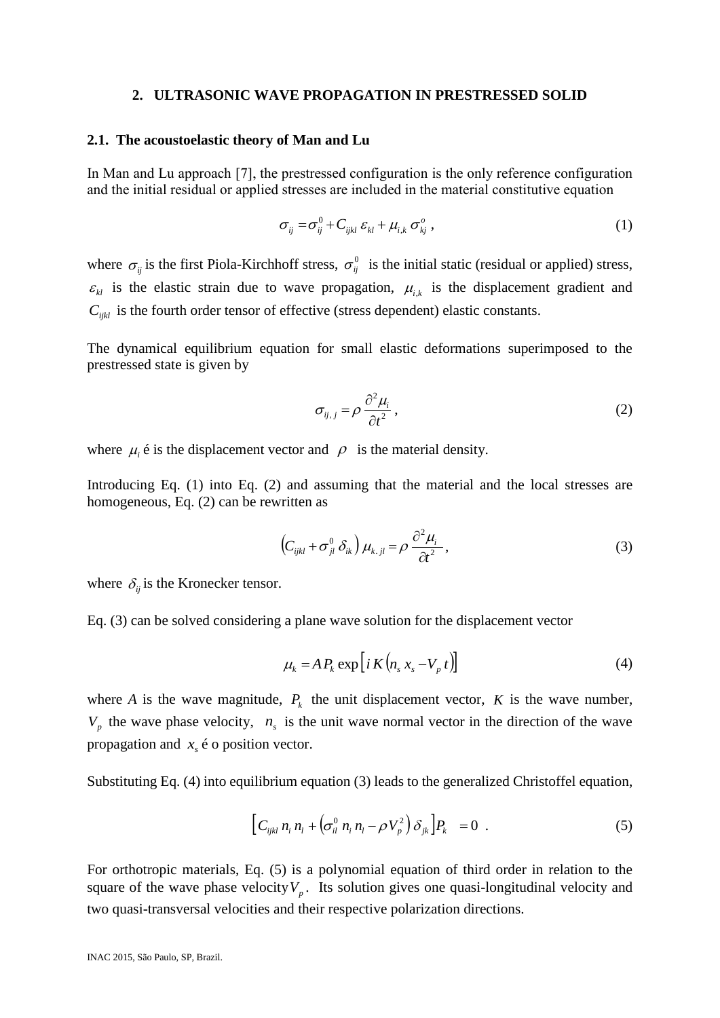#### **2. ULTRASONIC WAVE PROPAGATION IN PRESTRESSED SOLID**

#### **2.1. The acoustoelastic theory of Man and Lu**

In Man and Lu approach [7], the prestressed configuration is the only reference configuration and the initial residual or applied stresses are included in the material constitutive equation

$$
\sigma_{ij} = \sigma_{ij}^0 + C_{ijkl} \varepsilon_{kl} + \mu_{i,k} \sigma_{kj}^o , \qquad (1)
$$

where  $\sigma_{ij}$  is the first Piola-Kirchhoff stress,  $\sigma_{ij}^0$  is the initial static (residual or applied) stress,  $\varepsilon_{kl}$  is the elastic strain due to wave propagation,  $\mu_{i,k}$  is the displacement gradient and  $C_{ijkl}$  is the fourth order tensor of effective (stress dependent) elastic constants.

The dynamical equilibrium equation for small elastic deformations superimposed to the prestressed state is given by

$$
\sigma_{ij,j} = \rho \, \frac{\partial^2 \mu_i}{\partial t^2} \,, \tag{2}
$$

where  $\mu_i$   $\acute{\textbf{e}}$  is the displacement vector and  $\rho$  is the material density.

Introducing Eq. (1) into Eq. (2) and assuming that the material and the local stresses are homogeneous, Eq. (2) can be rewritten as

$$
\left(C_{ijkl} + \sigma_{jl}^0 \delta_{ik}\right) \mu_{k,jl} = \rho \, \frac{\partial^2 \mu_i}{\partial t^2},\tag{3}
$$

where  $\delta_{ij}$  is the Kronecker tensor.

Eq. (3) can be solved considering a plane wave solution for the displacement vector

$$
\mu_k = A P_k \exp \left[ i K \left( n_s x_s - V_p t \right) \right] \tag{4}
$$

where *A* is the wave magnitude,  $P_k$  the unit displacement vector, *K* is the wave number,  $V_p$  the wave phase velocity,  $n_s$  is the unit wave normal vector in the direction of the wave propagation and  $x<sub>s</sub>$   $\acute{\text{e}}$  o position vector.

Substituting Eq. (4) into equilibrium equation (3) leads to the generalized Christoffel equation,

$$
\left[C_{ijkl} n_i n_l + \left(\sigma_{il}^0 n_i n_l - \rho V_p^2\right) \delta_{jk}\right]P_k = 0 \quad . \tag{5}
$$

For orthotropic materials, Eq. (5) is a polynomial equation of third order in relation to the square of the wave phase velocity  $V_p$ . Its solution gives one quasi-longitudinal velocity and two quasi-transversal velocities and their respective polarization directions.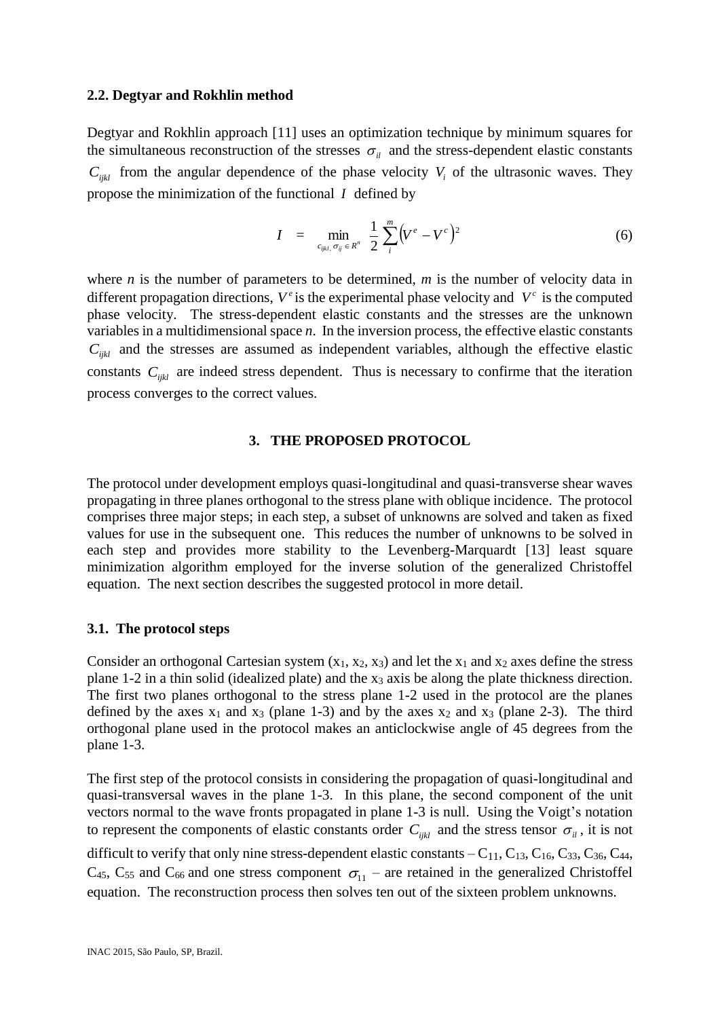## **2.2. Degtyar and Rokhlin method**

Degtyar and Rokhlin approach [11] uses an optimization technique by minimum squares for the simultaneous reconstruction of the stresses  $\sigma_{il}$  and the stress-dependent elastic constants  $C_{ijkl}$  from the angular dependence of the phase velocity  $V_i$  of the ultrasonic waves. They propose the minimization of the functional *I* defined by

$$
I = \min_{c_{ijkl}, \sigma_{ij} \in R^n} \frac{1}{2} \sum_{i}^{m} (V^e - V^c)^2
$$
 (6)

where *n* is the number of parameters to be determined, *m* is the number of velocity data in different propagation directions,  $V^e$  is the experimental phase velocity and  $V^e$  is the computed phase velocity. The stress-dependent elastic constants and the stresses are the unknown variables in a multidimensional space *n*. In the inversion process, the effective elastic constants  $C_{ijkl}$  and the stresses are assumed as independent variables, although the effective elastic constants  $C_{ijkl}$  are indeed stress dependent. Thus is necessary to confirme that the iteration process converges to the correct values.

## **3. THE PROPOSED PROTOCOL**

The protocol under development employs quasi-longitudinal and quasi-transverse shear waves propagating in three planes orthogonal to the stress plane with oblique incidence. The protocol comprises three major steps; in each step, a subset of unknowns are solved and taken as fixed values for use in the subsequent one. This reduces the number of unknowns to be solved in each step and provides more stability to the Levenberg-Marquardt [13] least square minimization algorithm employed for the inverse solution of the generalized Christoffel equation. The next section describes the suggested protocol in more detail.

## **3.1. The protocol steps**

Consider an orthogonal Cartesian system  $(x_1, x_2, x_3)$  and let the  $x_1$  and  $x_2$  axes define the stress plane 1-2 in a thin solid (idealized plate) and the x<sup>3</sup> axis be along the plate thickness direction. The first two planes orthogonal to the stress plane 1-2 used in the protocol are the planes defined by the axes  $x_1$  and  $x_3$  (plane 1-3) and by the axes  $x_2$  and  $x_3$  (plane 2-3). The third orthogonal plane used in the protocol makes an anticlockwise angle of 45 degrees from the plane 1-3.

The first step of the protocol consists in considering the propagation of quasi-longitudinal and quasi-transversal waves in the plane 1-3. In this plane, the second component of the unit vectors normal to the wave fronts propagated in plane 1-3 is null. Using the Voigt's notation to represent the components of elastic constants order  $C_{ijkl}$  and the stress tensor  $\sigma_{il}$ , it is not difficult to verify that only nine stress-dependent elastic constants  $-C_{11}$ ,  $C_{13}$ ,  $C_{16}$ ,  $C_{33}$ ,  $C_{36}$ ,  $C_{44}$ ,

 $C_{45}$ ,  $C_{55}$  and  $C_{66}$  and one stress component  $\sigma_{11}$  – are retained in the generalized Christoffel equation. The reconstruction process then solves ten out of the sixteen problem unknowns.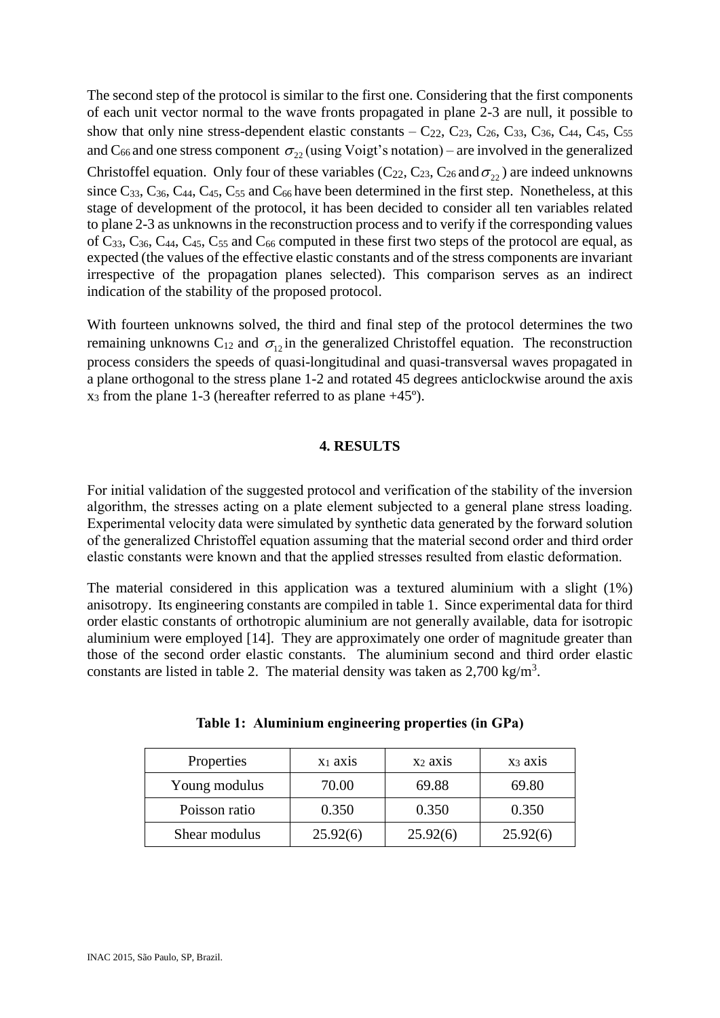The second step of the protocol is similar to the first one. Considering that the first components of each unit vector normal to the wave fronts propagated in plane 2-3 are null, it possible to show that only nine stress-dependent elastic constants  $-C_{22}$ ,  $C_{23}$ ,  $C_{26}$ ,  $C_{33}$ ,  $C_{36}$ ,  $C_{44}$ ,  $C_{45}$ ,  $C_{55}$ and C<sub>66</sub> and one stress component  $\sigma_{22}$  (using Voigt's notation) – are involved in the generalized Christoffel equation. Only four of these variables ( $C_{22}$ ,  $C_{23}$ ,  $C_{26}$  and  $\sigma_{22}$ ) are indeed unknowns since  $C_{33}$ ,  $C_{36}$ ,  $C_{44}$ ,  $C_{45}$ ,  $C_{55}$  and  $C_{66}$  have been determined in the first step. Nonetheless, at this stage of development of the protocol, it has been decided to consider all ten variables related to plane 2-3 as unknowns in the reconstruction process and to verify if the corresponding values of  $C_{33}$ ,  $C_{36}$ ,  $C_{44}$ ,  $C_{45}$ ,  $C_{55}$  and  $C_{66}$  computed in these first two steps of the protocol are equal, as expected (the values of the effective elastic constants and of the stress components are invariant irrespective of the propagation planes selected). This comparison serves as an indirect indication of the stability of the proposed protocol.

With fourteen unknowns solved, the third and final step of the protocol determines the two remaining unknowns  $C_{12}$  and  $\sigma_{12}$  in the generalized Christoffel equation. The reconstruction process considers the speeds of quasi-longitudinal and quasi-transversal waves propagated in a plane orthogonal to the stress plane 1-2 and rotated 45 degrees anticlockwise around the axis  $x_3$  from the plane 1-3 (hereafter referred to as plane  $+45^{\circ}$ ).

## **4. RESULTS**

For initial validation of the suggested protocol and verification of the stability of the inversion algorithm, the stresses acting on a plate element subjected to a general plane stress loading. Experimental velocity data were simulated by synthetic data generated by the forward solution of the generalized Christoffel equation assuming that the material second order and third order elastic constants were known and that the applied stresses resulted from elastic deformation.

The material considered in this application was a textured aluminium with a slight (1%) anisotropy. Its engineering constants are compiled in table 1. Since experimental data for third order elastic constants of orthotropic aluminium are not generally available, data for isotropic aluminium were employed [14]. They are approximately one order of magnitude greater than those of the second order elastic constants. The aluminium second and third order elastic constants are listed in table 2. The material density was taken as  $2,700 \text{ kg/m}^3$ .

| Properties    | $X_1$ axis | X <sub>2</sub> ax <sub>1S</sub> | $X_3$ axis |  |
|---------------|------------|---------------------------------|------------|--|
| Young modulus | 70.00      | 69.88                           | 69.80      |  |
| Poisson ratio | 0.350      | 0.350                           | 0.350      |  |
| Shear modulus | 25.92(6)   | 25.92(6)                        | 25.92(6)   |  |

**Table 1: Aluminium engineering properties (in GPa)**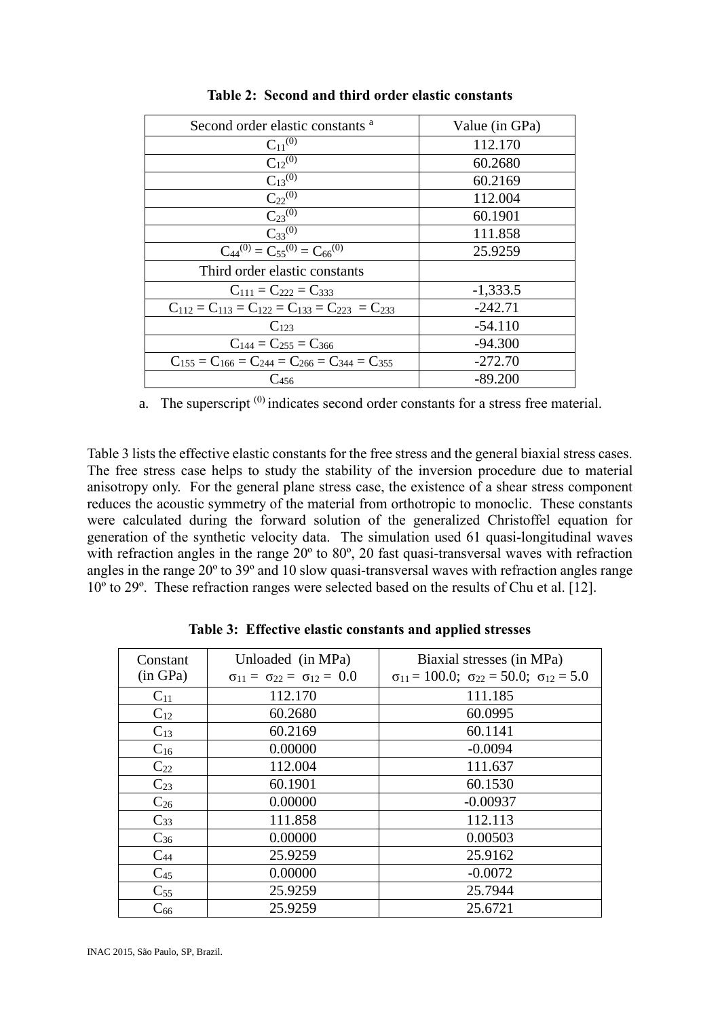| Second order elastic constants <sup>a</sup>                 | Value (in GPa) |
|-------------------------------------------------------------|----------------|
| $C_{11}^{(0)}$                                              | 112.170        |
| $C_{12}^{(0)}$                                              | 60.2680        |
| $C_{13}^{(0)}$                                              | 60.2169        |
| $C_{22}^{(0)}$                                              | 112.004        |
| $C_{23}^{(0)}$                                              | 60.1901        |
| $C_{33}^{(0)}$                                              | 111.858        |
| $C_{44}^{(0)} = C_{55}^{(0)} = C_{66}^{(0)}$                | 25.9259        |
| Third order elastic constants                               |                |
| $C_{111} = C_{222} = C_{333}$                               | $-1,333.5$     |
| $C_{112} = C_{113} = C_{122} = C_{133} = C_{223} = C_{233}$ | $-242.71$      |
| $C_{123}$                                                   | $-54.110$      |
| $C_{144} = C_{255} = C_{366}$                               | $-94.300$      |
| $C_{155} = C_{166} = C_{244} = C_{266} = C_{344} = C_{355}$ | $-272.70$      |
| $\rm{C_{456}}$                                              | $-89.200$      |

**Table 2: Second and third order elastic constants**

a. The superscript  $(0)$  indicates second order constants for a stress free material.

Table 3 lists the effective elastic constants for the free stress and the general biaxial stress cases. The free stress case helps to study the stability of the inversion procedure due to material anisotropy only. For the general plane stress case, the existence of a shear stress component reduces the acoustic symmetry of the material from orthotropic to monoclic. These constants were calculated during the forward solution of the generalized Christoffel equation for generation of the synthetic velocity data. The simulation used 61 quasi-longitudinal waves with refraction angles in the range 20<sup>°</sup> to 80<sup>°</sup>, 20 fast quasi-transversal waves with refraction angles in the range 20º to 39º and 10 slow quasi-transversal waves with refraction angles range 10º to 29º. These refraction ranges were selected based on the results of Chu et al. [12].

| Constant<br>(in GPa) | Unloaded (in MPa)<br>$\sigma_{11} = \sigma_{22} = \sigma_{12} = 0.0$ | Biaxial stresses (in MPa)<br>$\sigma_{11} = 100.0; \ \sigma_{22} = 50.0; \ \sigma_{12} = 5.0$ |
|----------------------|----------------------------------------------------------------------|-----------------------------------------------------------------------------------------------|
| $C_{11}$             | 112.170                                                              | 111.185                                                                                       |
| $C_{12}$             | 60.2680                                                              | 60.0995                                                                                       |
| $C_{13}$             | 60.2169                                                              | 60.1141                                                                                       |
| $C_{16}$             | 0.00000                                                              | $-0.0094$                                                                                     |
| $C_{22}$             | 112.004                                                              | 111.637                                                                                       |
| $C_{23}$             | 60.1901                                                              | 60.1530                                                                                       |
| $C_{26}$             | 0.00000                                                              | $-0.00937$                                                                                    |
| $C_{33}$             | 111.858                                                              | 112.113                                                                                       |
| $C_{36}$             | 0.00000                                                              | 0.00503                                                                                       |
| $C_{44}$             | 25.9259                                                              | 25.9162                                                                                       |
| $C_{45}$             | 0.00000                                                              | $-0.0072$                                                                                     |
| $C_{55}$             | 25.9259                                                              | 25.7944                                                                                       |
| $\mathrm{C}_{66}$    | 25.9259                                                              | 25.6721                                                                                       |

**Table 3: Effective elastic constants and applied stresses**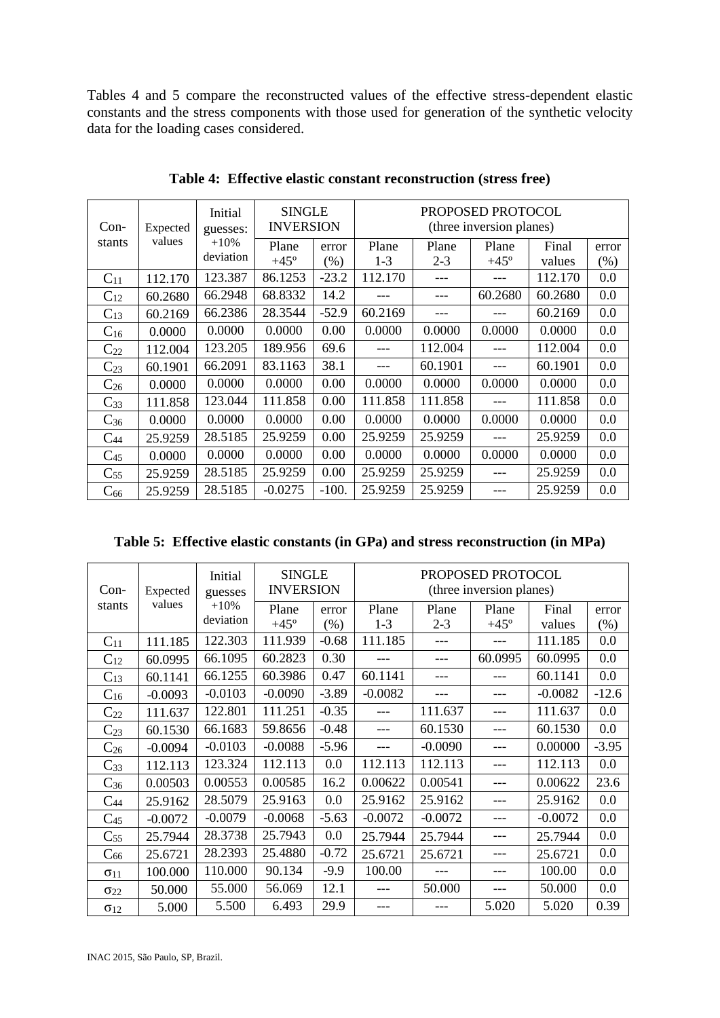Tables 4 and 5 compare the reconstructed values of the effective stress-dependent elastic constants and the stress components with those used for generation of the synthetic velocity data for the loading cases considered.

| $Con-$<br>Expected<br>values<br>stants | Initial<br>guesses:<br>$+10%$<br>deviation | <b>SINGLE</b><br><b>INVERSION</b> |                  | PROPOSED PROTOCOL<br>(three inversion planes) |                  |                      |                 |                 |     |
|----------------------------------------|--------------------------------------------|-----------------------------------|------------------|-----------------------------------------------|------------------|----------------------|-----------------|-----------------|-----|
|                                        |                                            | Plane<br>$+45^\circ$              | error<br>$(\% )$ | Plane<br>$1-3$                                | Plane<br>$2 - 3$ | Plane<br>$+45^\circ$ | Final<br>values | error<br>$(\%)$ |     |
| $C_{11}$                               | 112.170                                    | 123.387                           | 86.1253          | $-23.2$                                       | 112.170          |                      |                 | 112.170         | 0.0 |
| $C_{12}$                               | 60.2680                                    | 66.2948                           | 68.8332          | 14.2                                          |                  |                      | 60.2680         | 60.2680         | 0.0 |
| $C_{13}$                               | 60.2169                                    | 66.2386                           | 28.3544          | $-52.9$                                       | 60.2169          |                      |                 | 60.2169         | 0.0 |
| $C_{16}$                               | 0.0000                                     | 0.0000                            | 0.0000           | 0.00                                          | 0.0000           | 0.0000               | 0.0000          | 0.0000          | 0.0 |
| $C_{22}$                               | 112.004                                    | 123.205                           | 189.956          | 69.6                                          |                  | 112.004              |                 | 112.004         | 0.0 |
| $C_{23}$                               | 60.1901                                    | 66.2091                           | 83.1163          | 38.1                                          |                  | 60.1901              |                 | 60.1901         | 0.0 |
| $C_{26}$                               | 0.0000                                     | 0.0000                            | 0.0000           | 0.00                                          | 0.0000           | 0.0000               | 0.0000          | 0.0000          | 0.0 |
| $C_{33}$                               | 111.858                                    | 123.044                           | 111.858          | 0.00                                          | 111.858          | 111.858              |                 | 111.858         | 0.0 |
| $C_{36}$                               | 0.0000                                     | 0.0000                            | 0.0000           | 0.00                                          | 0.0000           | 0.0000               | 0.0000          | 0.0000          | 0.0 |
| $C_{44}$                               | 25.9259                                    | 28.5185                           | 25.9259          | 0.00                                          | 25.9259          | 25.9259              |                 | 25.9259         | 0.0 |
| $C_{45}$                               | 0.0000                                     | 0.0000                            | 0.0000           | 0.00                                          | 0.0000           | 0.0000               | 0.0000          | 0.0000          | 0.0 |
| $C_{55}$                               | 25.9259                                    | 28.5185                           | 25.9259          | 0.00                                          | 25.9259          | 25.9259              |                 | 25.9259         | 0.0 |
| $\mathrm{C}_{66}$                      | 25.9259                                    | 28.5185                           | $-0.0275$        | $-100.$                                       | 25.9259          | 25.9259              |                 | 25.9259         | 0.0 |

**Table 4: Effective elastic constant reconstruction (stress free)**

| Table 5: Effective elastic constants (in GPa) and stress reconstruction (in MPa) |  |  |  |
|----------------------------------------------------------------------------------|--|--|--|
|                                                                                  |  |  |  |

| $Con-$<br>Expected     |           | Initial<br>guesses | <b>SINGLE</b><br><b>INVERSION</b> |         | PROPOSED PROTOCOL<br>(three inversion planes) |           |             |           |         |
|------------------------|-----------|--------------------|-----------------------------------|---------|-----------------------------------------------|-----------|-------------|-----------|---------|
| stants                 | values    | $+10%$             | Plane                             | error   | Plane                                         | Plane     | Plane       | Final     | error   |
|                        |           | deviation          | $+45^\circ$                       | $(\% )$ | $1 - 3$                                       | $2 - 3$   | $+45^\circ$ | values    | $(\%)$  |
| $C_{11}$               | 111.185   | 122.303            | 111.939                           | $-0.68$ | 111.185                                       |           |             | 111.185   | 0.0     |
| $C_{12}$               | 60.0995   | 66.1095            | 60.2823                           | 0.30    |                                               |           | 60.0995     | 60.0995   | 0.0     |
| $C_{13}$               | 60.1141   | 66.1255            | 60.3986                           | 0.47    | 60.1141                                       |           |             | 60.1141   | 0.0     |
| $C_{16}$               | $-0.0093$ | $-0.0103$          | $-0.0090$                         | $-3.89$ | $-0.0082$                                     | ---       | ---         | $-0.0082$ | $-12.6$ |
| $C_{22}$               | 111.637   | 122.801            | 111.251                           | $-0.35$ |                                               | 111.637   |             | 111.637   | 0.0     |
| $C_{23}$               | 60.1530   | 66.1683            | 59.8656                           | $-0.48$ |                                               | 60.1530   |             | 60.1530   | 0.0     |
| $C_{26}$               | $-0.0094$ | $-0.0103$          | $-0.0088$                         | $-5.96$ | ---                                           | $-0.0090$ | ---         | 0.00000   | $-3.95$ |
| $C_{33}$               | 112.113   | 123.324            | 112.113                           | 0.0     | 112.113                                       | 112.113   |             | 112.113   | 0.0     |
| $C_{36}$               | 0.00503   | 0.00553            | 0.00585                           | 16.2    | 0.00622                                       | 0.00541   |             | 0.00622   | 23.6    |
| $C_{44}$               | 25.9162   | 28.5079            | 25.9163                           | 0.0     | 25.9162                                       | 25.9162   |             | 25.9162   | 0.0     |
| $C_{45}$               | $-0.0072$ | $-0.0079$          | $-0.0068$                         | $-5.63$ | $-0.0072$                                     | $-0.0072$ |             | $-0.0072$ | 0.0     |
| $C_{55}$               | 25.7944   | 28.3738            | 25.7943                           | 0.0     | 25.7944                                       | 25.7944   |             | 25.7944   | 0.0     |
| $C_{66}$               | 25.6721   | 28.2393            | 25.4880                           | $-0.72$ | 25.6721                                       | 25.6721   |             | 25.6721   | 0.0     |
| $\sigma$ <sub>11</sub> | 100.000   | 110.000            | 90.134                            | $-9.9$  | 100.00                                        |           |             | 100.00    | 0.0     |
| $\sigma_{22}$          | 50.000    | 55.000             | 56.069                            | 12.1    |                                               | 50.000    |             | 50.000    | 0.0     |
| $\sigma_{12}$          | 5.000     | 5.500              | 6.493                             | 29.9    |                                               |           | 5.020       | 5.020     | 0.39    |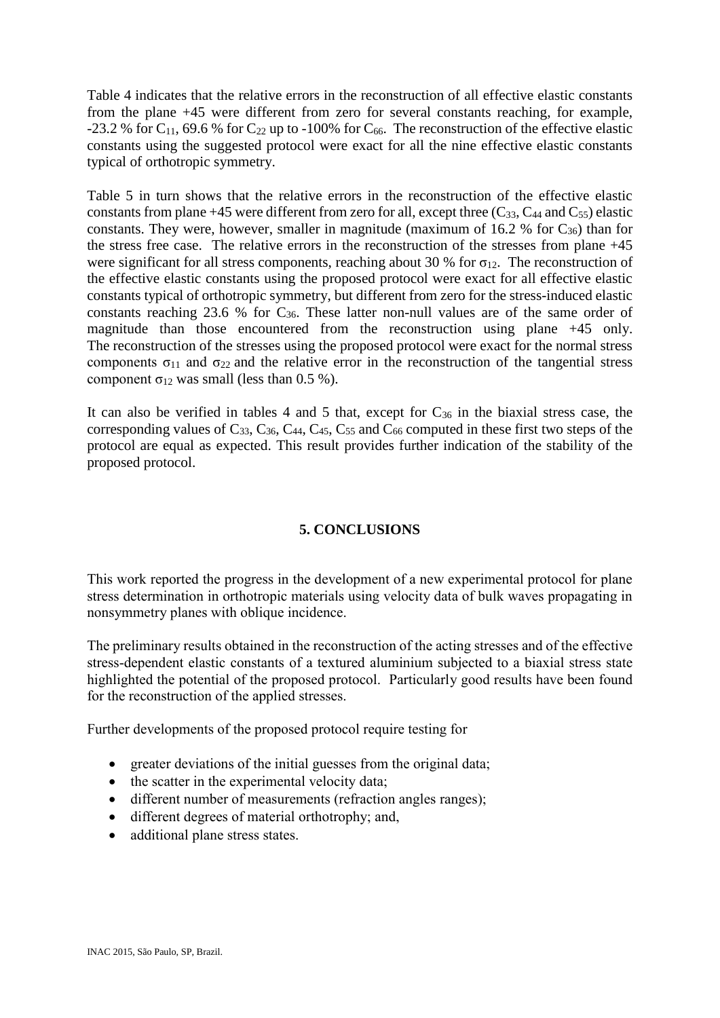Table 4 indicates that the relative errors in the reconstruction of all effective elastic constants from the plane +45 were different from zero for several constants reaching, for example, -23.2 % for C<sub>11</sub>, 69.6 % for C<sub>22</sub> up to -100% for C<sub>66</sub>. The reconstruction of the effective elastic constants using the suggested protocol were exact for all the nine effective elastic constants typical of orthotropic symmetry.

Table 5 in turn shows that the relative errors in the reconstruction of the effective elastic constants from plane +45 were different from zero for all, except three  $(C_{33}, C_{44}$  and  $C_{55})$  elastic constants. They were, however, smaller in magnitude (maximum of 16.2 % for  $C_{36}$ ) than for the stress free case. The relative errors in the reconstruction of the stresses from plane +45 were significant for all stress components, reaching about 30 % for  $\sigma_{12}$ . The reconstruction of the effective elastic constants using the proposed protocol were exact for all effective elastic constants typical of orthotropic symmetry, but different from zero for the stress-induced elastic constants reaching 23.6 % for  $C_{36}$ . These latter non-null values are of the same order of magnitude than those encountered from the reconstruction using plane +45 only. The reconstruction of the stresses using the proposed protocol were exact for the normal stress components  $\sigma_{11}$  and  $\sigma_{22}$  and the relative error in the reconstruction of the tangential stress component σ<sub>12</sub> was small (less than 0.5 %).

It can also be verified in tables 4 and 5 that, except for  $C_{36}$  in the biaxial stress case, the corresponding values of  $C_{33}$ ,  $C_{36}$ ,  $C_{44}$ ,  $C_{45}$ ,  $C_{55}$  and  $C_{66}$  computed in these first two steps of the protocol are equal as expected. This result provides further indication of the stability of the proposed protocol.

# **5. CONCLUSIONS**

This work reported the progress in the development of a new experimental protocol for plane stress determination in orthotropic materials using velocity data of bulk waves propagating in nonsymmetry planes with oblique incidence.

The preliminary results obtained in the reconstruction of the acting stresses and of the effective stress-dependent elastic constants of a textured aluminium subjected to a biaxial stress state highlighted the potential of the proposed protocol. Particularly good results have been found for the reconstruction of the applied stresses.

Further developments of the proposed protocol require testing for

- greater deviations of the initial guesses from the original data;
- the scatter in the experimental velocity data;
- different number of measurements (refraction angles ranges);
- different degrees of material orthotrophy; and,
- additional plane stress states.